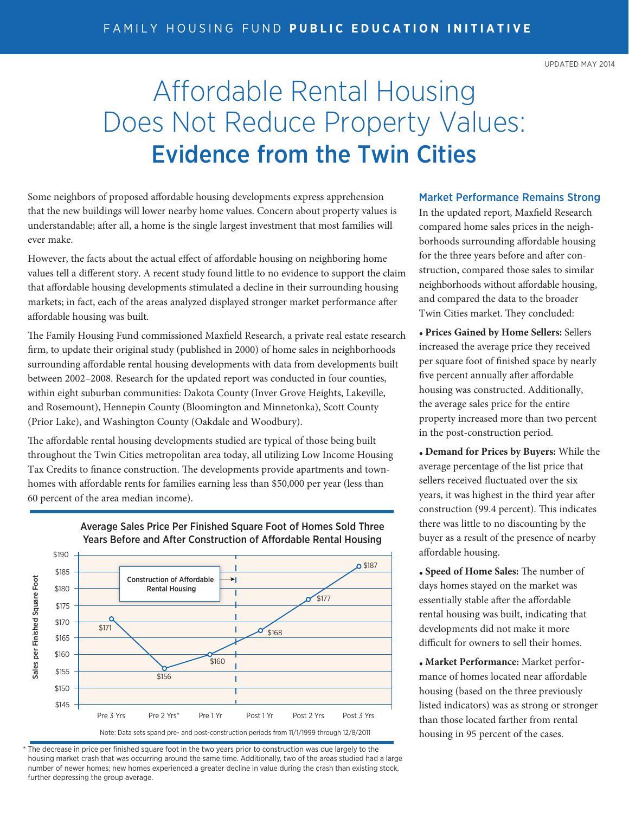## Affordable Rental Housing Does Not Reduce Property Values: Evidence from the Twin Cities

Some neighbors of proposed affordable housing developments express apprehension that the new buildings will lower nearby home values. Concern about property values is understandable; after all, a home is the single largest investment that most families will ever make.

However, the facts about the actual effect of affordable housing on neighboring home values tell a different story. A recent study found little to no evidence to support the claim that affordable housing developments stimulated a decline in their surrounding housing markets; in fact, each of the areas analyzed displayed stronger market performance after affordable housing was built.

The Family Housing Fund commissioned Maxfield Research, a private real estate research firm, to update their original study (published in 2000) of home sales in neighborhoods surrounding affordable rental housing developments with data from developments built between 2002–2008. Research for the updated report was conducted in four counties, within eight suburban communities: Dakota County (Inver Grove Heights, Lakeville, and Rosemount), Hennepin County (Bloomington and Minnetonka), Scott County (Prior Lake), and Washington County (Oakdale and Woodbury).

The affordable rental housing developments studied are typical of those being built throughout the Twin Cities metropolitan area today, all utilizing Low Income Housing Tax Credits to finance construction. The developments provide apartments and townhomes with affordable rents for families earning less than \$50,000 per year (less than 60 percent of the area median income).



## Average Sales Price Per Finished Square Foot of Homes Sold Three Years Before and After Construction of Affordable Rental Housing

\* The decrease in price per finished square foot in the two years prior to construction was due largely to the housing market crash that was occurring around the same time. Additionally, two of the areas studied had a large number of newer homes; new homes experienced a greater decline in value during the crash than existing stock, further depressing the group average.

## Market Performance Remains Strong

In the updated report, Maxfield Research compared home sales prices in the neighborhoods surrounding affordable housing for the three years before and after construction, compared those sales to similar neighborhoods without affordable housing, and compared the data to the broader Twin Cities market. They concluded:

**• Prices Gained by Home Sellers:** Sellers increased the average price they received per square foot of finished space by nearly five percent annually after affordable housing was constructed. Additionally, the average sales price for the entire property increased more than two percent in the post-construction period.

**• Demand for Prices by Buyers:** While the average percentage of the list price that sellers received fluctuated over the six years, it was highest in the third year after construction (99.4 percent). This indicates there was little to no discounting by the buyer as a result of the presence of nearby affordable housing.

**• Speed of Home Sales:** The number of days homes stayed on the market was essentially stable after the affordable rental housing was built, indicating that developments did not make it more difficult for owners to sell their homes.

**• Market Performance:** Market performance of homes located near affordable housing (based on the three previously listed indicators) was as strong or stronger than those located farther from rental